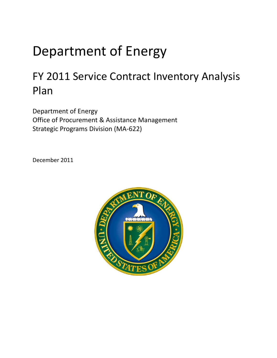## Department of Energy

## FY 2011 Service Contract Inventory Analysis Plan

Department of Energy Office of Procurement & Assistance Management Strategic Programs Division (MA-622)

December 2011